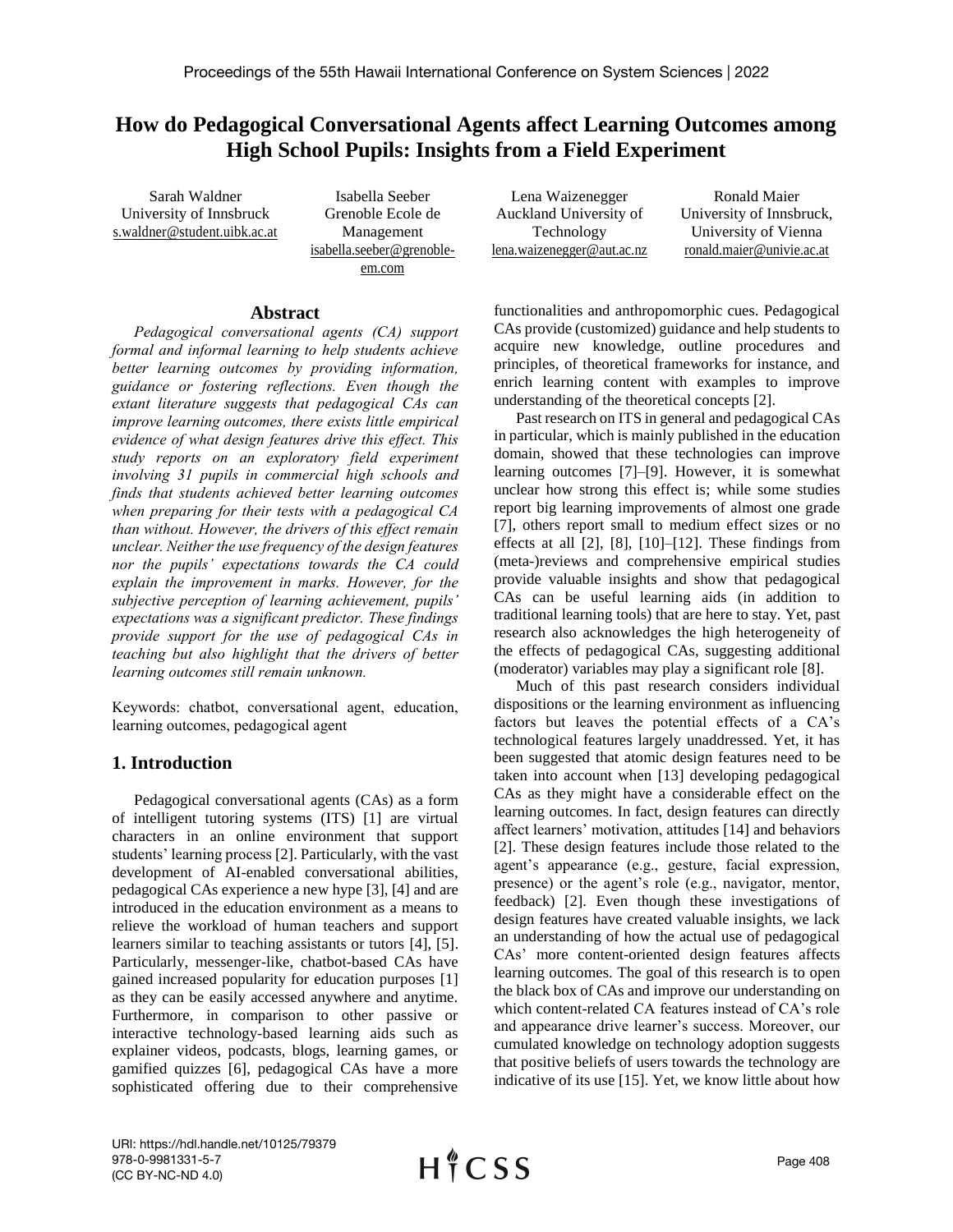# **How do Pedagogical Conversational Agents affect Learning Outcomes among High School Pupils: Insights from a Field Experiment**

Sarah Waldner University of Innsbruck s.waldner@student.uibk.ac.at Isabella Seeber Grenoble Ecole de Management isabella.seeber@grenobleem.com Lena Waizenegger Auckland University of Technology lena.waizenegger@aut.ac.nz Ronald Maier University of Innsbruck, University of Vienna

#### **Abstract**

*Pedagogical conversational agents (CA) support formal and informal learning to help students achieve better learning outcomes by providing information, guidance or fostering reflections. Even though the extant literature suggests that pedagogical CAs can improve learning outcomes, there exists little empirical evidence of what design features drive this effect. This study reports on an exploratory field experiment involving 31 pupils in commercial high schools and finds that students achieved better learning outcomes when preparing for their tests with a pedagogical CA than without. However, the drivers of this effect remain unclear. Neither the use frequency of the design features nor the pupils' expectations towards the CA could explain the improvement in marks. However, for the subjective perception of learning achievement, pupils' expectations was a significant predictor. These findings provide support for the use of pedagogical CAs in teaching but also highlight that the drivers of better learning outcomes still remain unknown.* 

Keywords: chatbot, conversational agent, education, learning outcomes, pedagogical agent

# **1. Introduction**

Pedagogical conversational agents (CAs) as a form of intelligent tutoring systems (ITS) [1] are virtual characters in an online environment that support students' learning process [2]. Particularly, with the vast development of AI-enabled conversational abilities, pedagogical CAs experience a new hype [3], [4] and are introduced in the education environment as a means to relieve the workload of human teachers and support learners similar to teaching assistants or tutors [4], [5]. Particularly, messenger-like, chatbot-based CAs have gained increased popularity for education purposes [1] as they can be easily accessed anywhere and anytime. Furthermore, in comparison to other passive or interactive technology-based learning aids such as explainer videos, podcasts, blogs, learning games, or gamified quizzes [6], pedagogical CAs have a more sophisticated offering due to their comprehensive

| Technology                 | University of Vienna                                   |
|----------------------------|--------------------------------------------------------|
| lena.waizenegger@aut.ac.nz | ronald.maier@univie.ac.at                              |
|                            |                                                        |
|                            |                                                        |
|                            | functionalities and anthropomorphic cues. Pedagogical  |
|                            | CAs provide (customized) guidance and help students to |

CAs provide (customized) guidance and help students to acquire new knowledge, outline procedures and principles, of theoretical frameworks for instance, and enrich learning content with examples to improve understanding of the theoretical concepts [2].

Past research on ITS in general and pedagogical CAs in particular, which is mainly published in the education domain, showed that these technologies can improve learning outcomes [7]–[9]. However, it is somewhat unclear how strong this effect is; while some studies report big learning improvements of almost one grade [7], others report small to medium effect sizes or no effects at all [2], [8], [10]–[12]. These findings from (meta-)reviews and comprehensive empirical studies provide valuable insights and show that pedagogical CAs can be useful learning aids (in addition to traditional learning tools) that are here to stay. Yet, past research also acknowledges the high heterogeneity of the effects of pedagogical CAs, suggesting additional (moderator) variables may play a significant role [8].

Much of this past research considers individual dispositions or the learning environment as influencing factors but leaves the potential effects of a CA's technological features largely unaddressed. Yet, it has been suggested that atomic design features need to be taken into account when [13] developing pedagogical CAs as they might have a considerable effect on the learning outcomes. In fact, design features can directly affect learners' motivation, attitudes [14] and behaviors [2]. These design features include those related to the agent's appearance (e.g., gesture, facial expression, presence) or the agent's role (e.g., navigator, mentor, feedback) [2]. Even though these investigations of design features have created valuable insights, we lack an understanding of how the actual use of pedagogical CAs' more content-oriented design features affects learning outcomes. The goal of this research is to open the black box of CAs and improve our understanding on which content-related CA features instead of CA's role and appearance drive learner's success. Moreover, our cumulated knowledge on technology adoption suggests that positive beliefs of users towards the technology are indicative of its use [15]. Yet, we know little about how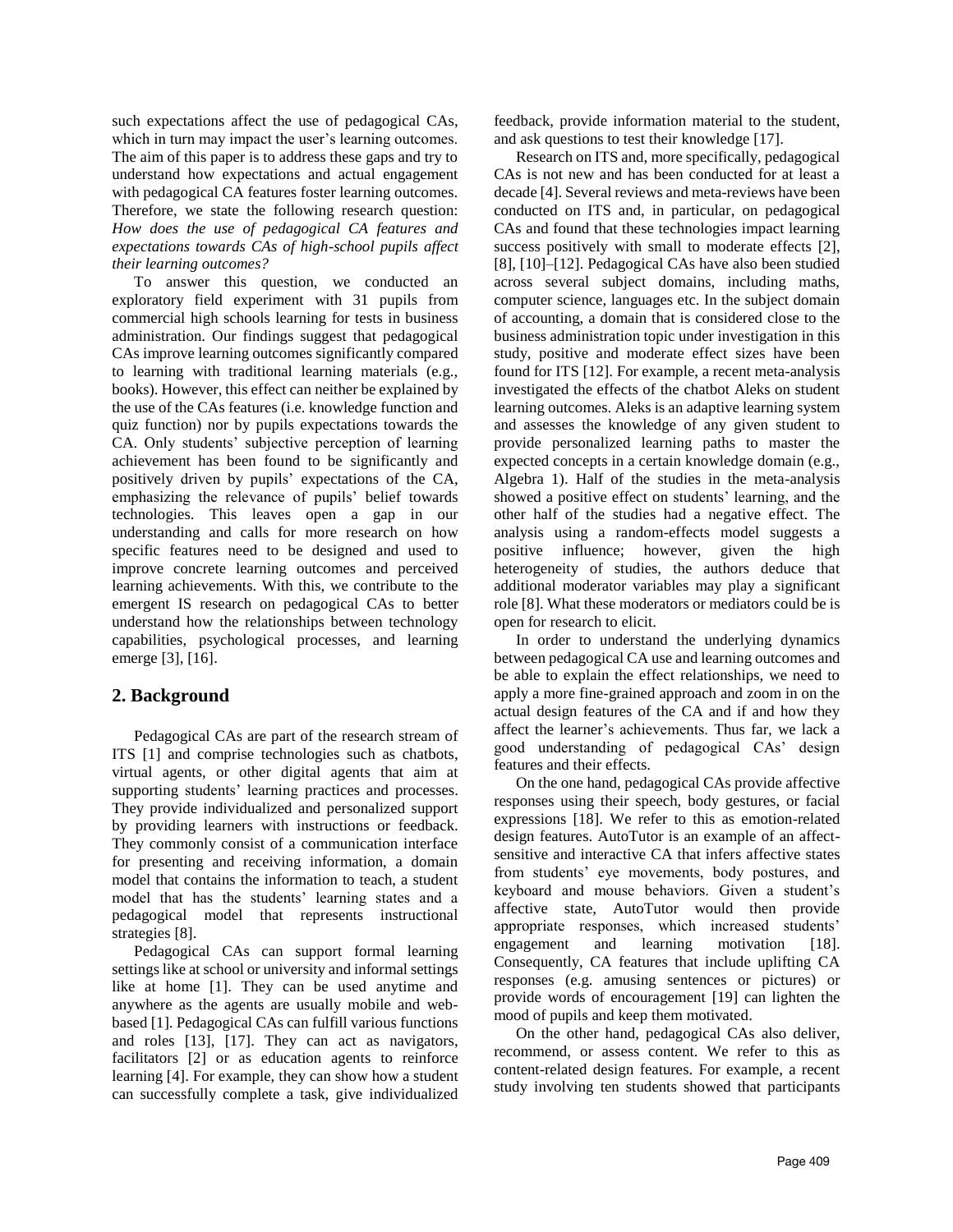such expectations affect the use of pedagogical CAs, which in turn may impact the user's learning outcomes. The aim of this paper is to address these gaps and try to understand how expectations and actual engagement with pedagogical CA features foster learning outcomes. Therefore, we state the following research question: *How does the use of pedagogical CA features and expectations towards CAs of high-school pupils affect their learning outcomes?*

To answer this question, we conducted an exploratory field experiment with 31 pupils from commercial high schools learning for tests in business administration. Our findings suggest that pedagogical CAs improve learning outcomes significantly compared to learning with traditional learning materials (e.g., books). However, this effect can neither be explained by the use of the CAs features (i.e. knowledge function and quiz function) nor by pupils expectations towards the CA. Only students' subjective perception of learning achievement has been found to be significantly and positively driven by pupils' expectations of the CA, emphasizing the relevance of pupils' belief towards technologies. This leaves open a gap in our understanding and calls for more research on how specific features need to be designed and used to improve concrete learning outcomes and perceived learning achievements. With this, we contribute to the emergent IS research on pedagogical CAs to better understand how the relationships between technology capabilities, psychological processes, and learning emerge [3], [16].

# **2. Background**

Pedagogical CAs are part of the research stream of ITS [1] and comprise technologies such as chatbots, virtual agents, or other digital agents that aim at supporting students' learning practices and processes. They provide individualized and personalized support by providing learners with instructions or feedback. They commonly consist of a communication interface for presenting and receiving information, a domain model that contains the information to teach, a student model that has the students' learning states and a pedagogical model that represents instructional strategies [8].

Pedagogical CAs can support formal learning settings like at school or university and informal settings like at home [1]. They can be used anytime and anywhere as the agents are usually mobile and webbased [1]. Pedagogical CAs can fulfill various functions and roles [13], [17]. They can act as navigators, facilitators [2] or as education agents to reinforce learning [4]. For example, they can show how a student can successfully complete a task, give individualized feedback, provide information material to the student, and ask questions to test their knowledge [17].

Research on ITS and, more specifically, pedagogical CAs is not new and has been conducted for at least a decade [4]. Several reviews and meta-reviews have been conducted on ITS and, in particular, on pedagogical CAs and found that these technologies impact learning success positively with small to moderate effects [2], [8], [10]–[12]. Pedagogical CAs have also been studied across several subject domains, including maths, computer science, languages etc. In the subject domain of accounting, a domain that is considered close to the business administration topic under investigation in this study, positive and moderate effect sizes have been found for ITS [12]. For example, a recent meta-analysis investigated the effects of the chatbot Aleks on student learning outcomes. Aleks is an adaptive learning system and assesses the knowledge of any given student to provide personalized learning paths to master the expected concepts in a certain knowledge domain (e.g., Algebra 1). Half of the studies in the meta-analysis showed a positive effect on students' learning, and the other half of the studies had a negative effect. The analysis using a random-effects model suggests a positive influence; however, given the high heterogeneity of studies, the authors deduce that additional moderator variables may play a significant role [8]. What these moderators or mediators could be is open for research to elicit.

In order to understand the underlying dynamics between pedagogical CA use and learning outcomes and be able to explain the effect relationships, we need to apply a more fine-grained approach and zoom in on the actual design features of the CA and if and how they affect the learner's achievements. Thus far, we lack a good understanding of pedagogical CAs' design features and their effects.

On the one hand, pedagogical CAs provide affective responses using their speech, body gestures, or facial expressions [18]. We refer to this as emotion-related design features. AutoTutor is an example of an affectsensitive and interactive CA that infers affective states from students' eye movements, body postures, and keyboard and mouse behaviors. Given a student's affective state, AutoTutor would then provide appropriate responses, which increased students' engagement and learning motivation [18]. Consequently, CA features that include uplifting CA responses (e.g. amusing sentences or pictures) or provide words of encouragement [19] can lighten the mood of pupils and keep them motivated.

On the other hand, pedagogical CAs also deliver, recommend, or assess content. We refer to this as content-related design features. For example, a recent study involving ten students showed that participants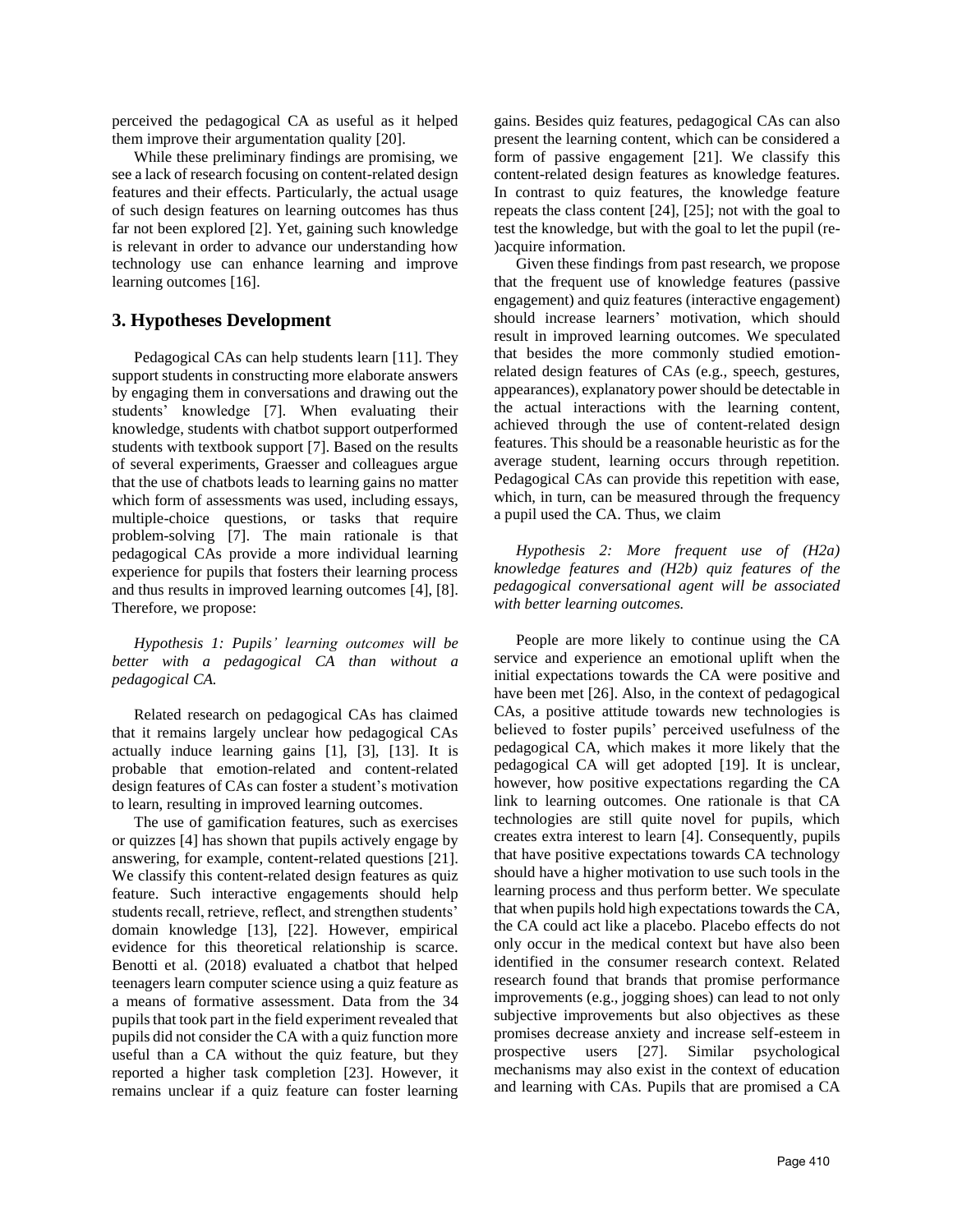perceived the pedagogical CA as useful as it helped them improve their argumentation quality [20].

While these preliminary findings are promising, we see a lack of research focusing on content-related design features and their effects. Particularly, the actual usage of such design features on learning outcomes has thus far not been explored [2]. Yet, gaining such knowledge is relevant in order to advance our understanding how technology use can enhance learning and improve learning outcomes [16].

### **3. Hypotheses Development**

Pedagogical CAs can help students learn [11]. They support students in constructing more elaborate answers by engaging them in conversations and drawing out the students' knowledge [7]. When evaluating their knowledge, students with chatbot support outperformed students with textbook support [7]. Based on the results of several experiments, Graesser and colleagues argue that the use of chatbots leads to learning gains no matter which form of assessments was used, including essays, multiple-choice questions, or tasks that require problem-solving [7]. The main rationale is that pedagogical CAs provide a more individual learning experience for pupils that fosters their learning process and thus results in improved learning outcomes [4], [8]. Therefore, we propose:

*Hypothesis 1: Pupils' learning outcomes will be better with a pedagogical CA than without a pedagogical CA.* 

Related research on pedagogical CAs has claimed that it remains largely unclear how pedagogical CAs actually induce learning gains [1], [3], [13]. It is probable that emotion-related and content-related design features of CAs can foster a student's motivation to learn, resulting in improved learning outcomes.

The use of gamification features, such as exercises or quizzes [4] has shown that pupils actively engage by answering, for example, content-related questions [21]. We classify this content-related design features as quiz feature. Such interactive engagements should help students recall, retrieve, reflect, and strengthen students' domain knowledge [13], [22]. However, empirical evidence for this theoretical relationship is scarce. Benotti et al. (2018) evaluated a chatbot that helped teenagers learn computer science using a quiz feature as a means of formative assessment. Data from the 34 pupils that took part in the field experiment revealed that pupils did not consider the CA with a quiz function more useful than a CA without the quiz feature, but they reported a higher task completion [23]. However, it remains unclear if a quiz feature can foster learning

gains. Besides quiz features, pedagogical CAs can also present the learning content, which can be considered a form of passive engagement [21]. We classify this content-related design features as knowledge features. In contrast to quiz features, the knowledge feature repeats the class content [24], [25]; not with the goal to test the knowledge, but with the goal to let the pupil (re- )acquire information.

Given these findings from past research, we propose that the frequent use of knowledge features (passive engagement) and quiz features (interactive engagement) should increase learners' motivation, which should result in improved learning outcomes. We speculated that besides the more commonly studied emotionrelated design features of CAs (e.g., speech, gestures, appearances), explanatory power should be detectable in the actual interactions with the learning content, achieved through the use of content-related design features. This should be a reasonable heuristic as for the average student, learning occurs through repetition. Pedagogical CAs can provide this repetition with ease, which, in turn, can be measured through the frequency a pupil used the CA. Thus, we claim

*Hypothesis 2: More frequent use of (H2a) knowledge features and (H2b) quiz features of the pedagogical conversational agent will be associated with better learning outcomes.* 

People are more likely to continue using the CA service and experience an emotional uplift when the initial expectations towards the CA were positive and have been met [26]. Also, in the context of pedagogical CAs, a positive attitude towards new technologies is believed to foster pupils' perceived usefulness of the pedagogical CA, which makes it more likely that the pedagogical CA will get adopted [19]. It is unclear, however, how positive expectations regarding the CA link to learning outcomes. One rationale is that CA technologies are still quite novel for pupils, which creates extra interest to learn [4]. Consequently, pupils that have positive expectations towards CA technology should have a higher motivation to use such tools in the learning process and thus perform better. We speculate that when pupils hold high expectations towards the CA, the CA could act like a placebo. Placebo effects do not only occur in the medical context but have also been identified in the consumer research context. Related research found that brands that promise performance improvements (e.g., jogging shoes) can lead to not only subjective improvements but also objectives as these promises decrease anxiety and increase self-esteem in prospective users [27]. Similar psychological mechanisms may also exist in the context of education and learning with CAs. Pupils that are promised a CA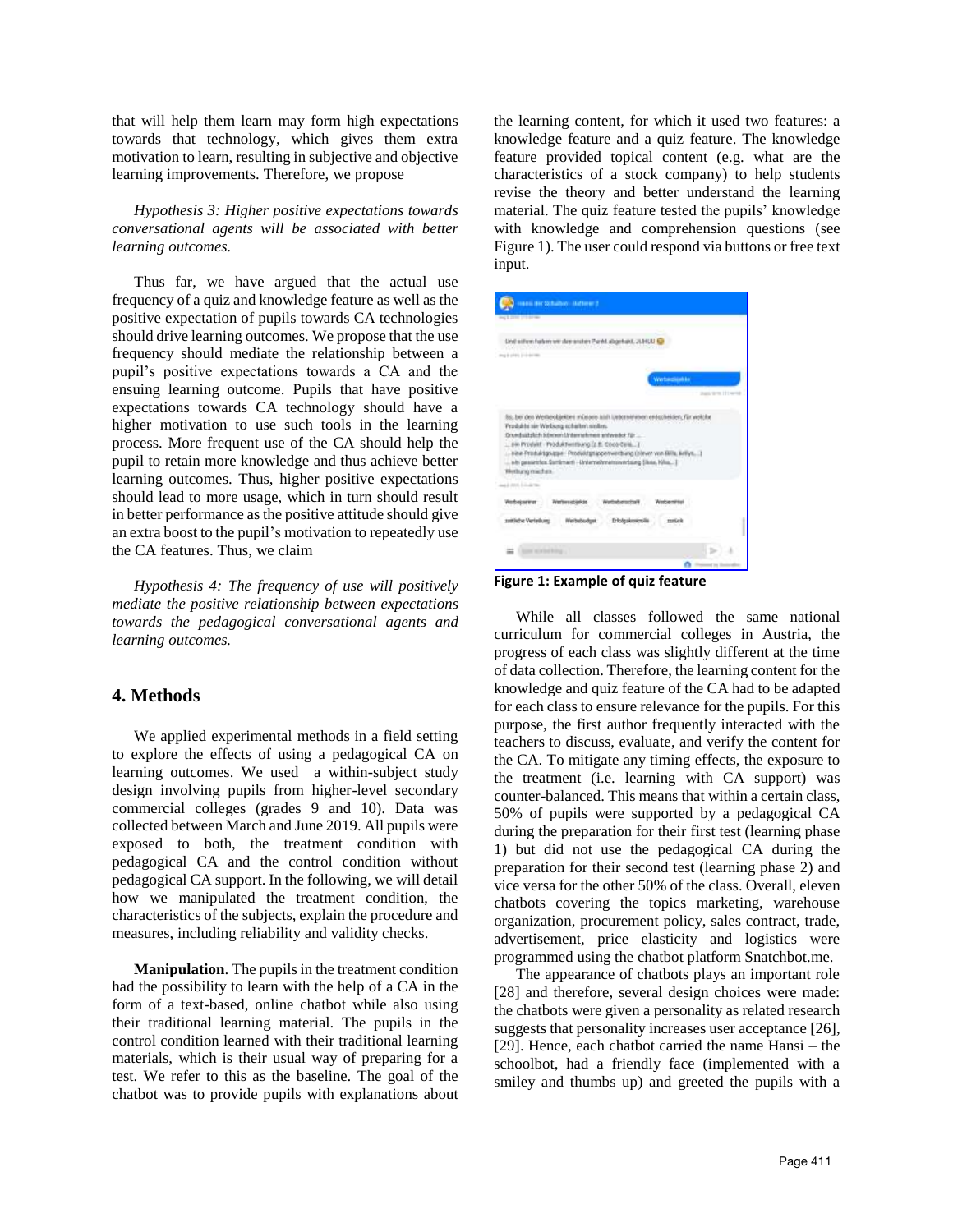that will help them learn may form high expectations towards that technology, which gives them extra motivation to learn, resulting in subjective and objective learning improvements. Therefore, we propose

*Hypothesis 3: Higher positive expectations towards conversational agents will be associated with better learning outcomes.*

Thus far, we have argued that the actual use frequency of a quiz and knowledge feature as well as the positive expectation of pupils towards CA technologies should drive learning outcomes. We propose that the use frequency should mediate the relationship between a pupil's positive expectations towards a CA and the ensuing learning outcome. Pupils that have positive expectations towards CA technology should have a higher motivation to use such tools in the learning process. More frequent use of the CA should help the pupil to retain more knowledge and thus achieve better learning outcomes. Thus, higher positive expectations should lead to more usage, which in turn should result in better performance as the positive attitude should give an extra boost to the pupil's motivation to repeatedly use the CA features. Thus, we claim

*Hypothesis 4: The frequency of use will positively mediate the positive relationship between expectations towards the pedagogical conversational agents and learning outcomes.*

# **4. Methods**

We applied experimental methods in a field setting to explore the effects of using a pedagogical CA on learning outcomes. We used a within-subject study design involving pupils from higher-level secondary commercial colleges (grades 9 and 10). Data was collected between March and June 2019. All pupils were exposed to both, the treatment condition with pedagogical CA and the control condition without pedagogical CA support. In the following, we will detail how we manipulated the treatment condition, the characteristics of the subjects, explain the procedure and measures, including reliability and validity checks.

**Manipulation**. The pupils in the treatment condition had the possibility to learn with the help of a CA in the form of a text-based, online chatbot while also using their traditional learning material. The pupils in the control condition learned with their traditional learning materials, which is their usual way of preparing for a test. We refer to this as the baseline. The goal of the chatbot was to provide pupils with explanations about

the learning content, for which it used two features: a knowledge feature and a quiz feature. The knowledge feature provided topical content (e.g. what are the characteristics of a stock company) to help students revise the theory and better understand the learning material. The quiz feature tested the pupils' knowledge with knowledge and comprehension questions (see Figure 1). The user could respond via buttons or free text input.

| reason are to halloon that to un 3                                                                                                                                                                                                                                                                                                                                                                               |                                    |
|------------------------------------------------------------------------------------------------------------------------------------------------------------------------------------------------------------------------------------------------------------------------------------------------------------------------------------------------------------------------------------------------------------------|------------------------------------|
| may \$1,0000 171-8219                                                                                                                                                                                                                                                                                                                                                                                            |                                    |
| Sind soften furture with date staten Pankt abortunit, 201430<br>make him in the series                                                                                                                                                                                                                                                                                                                           |                                    |
|                                                                                                                                                                                                                                                                                                                                                                                                                  | Wertwollankin<br><b>Just WHITE</b> |
| So, bei den Werkeobjekten müssen alsfrühtensehenen entscheiden, für welche<br>Produkte sie Werbung echarten sinders<br>Drumbuilderk können Unternehmen sniweder Für<br>no Produit - Produktentiung (z.B. Coco Cele)<br>eine Produktgruppe - Produktgruppenwerthung (ziewer von Bills, kellys, )<br>att gesamtes Santmart - Unternehmenswerkung Siess, Kilss., 2<br><b>Blockura maches</b><br>and look his detail |                                    |
| Wertweeblekte<br>Ainbejourings                                                                                                                                                                                                                                                                                                                                                                                   |                                    |
| zattiche Verträum                                                                                                                                                                                                                                                                                                                                                                                                |                                    |
| con acabelliting                                                                                                                                                                                                                                                                                                                                                                                                 |                                    |
|                                                                                                                                                                                                                                                                                                                                                                                                                  |                                    |

**Figure 1: Example of quiz feature**

While all classes followed the same national curriculum for commercial colleges in Austria, the progress of each class was slightly different at the time of data collection. Therefore, the learning content for the knowledge and quiz feature of the CA had to be adapted for each class to ensure relevance for the pupils. For this purpose, the first author frequently interacted with the teachers to discuss, evaluate, and verify the content for the CA. To mitigate any timing effects, the exposure to the treatment (i.e. learning with CA support) was counter-balanced. This means that within a certain class, 50% of pupils were supported by a pedagogical CA during the preparation for their first test (learning phase 1) but did not use the pedagogical CA during the preparation for their second test (learning phase 2) and vice versa for the other 50% of the class. Overall, eleven chatbots covering the topics marketing, warehouse organization, procurement policy, sales contract, trade, advertisement, price elasticity and logistics were programmed using the chatbot platform Snatchbot.me.

The appearance of chatbots plays an important role [28] and therefore, several design choices were made: the chatbots were given a personality as related research suggests that personality increases user acceptance [26], [29]. Hence, each chatbot carried the name Hansi – the schoolbot, had a friendly face (implemented with a smiley and thumbs up) and greeted the pupils with a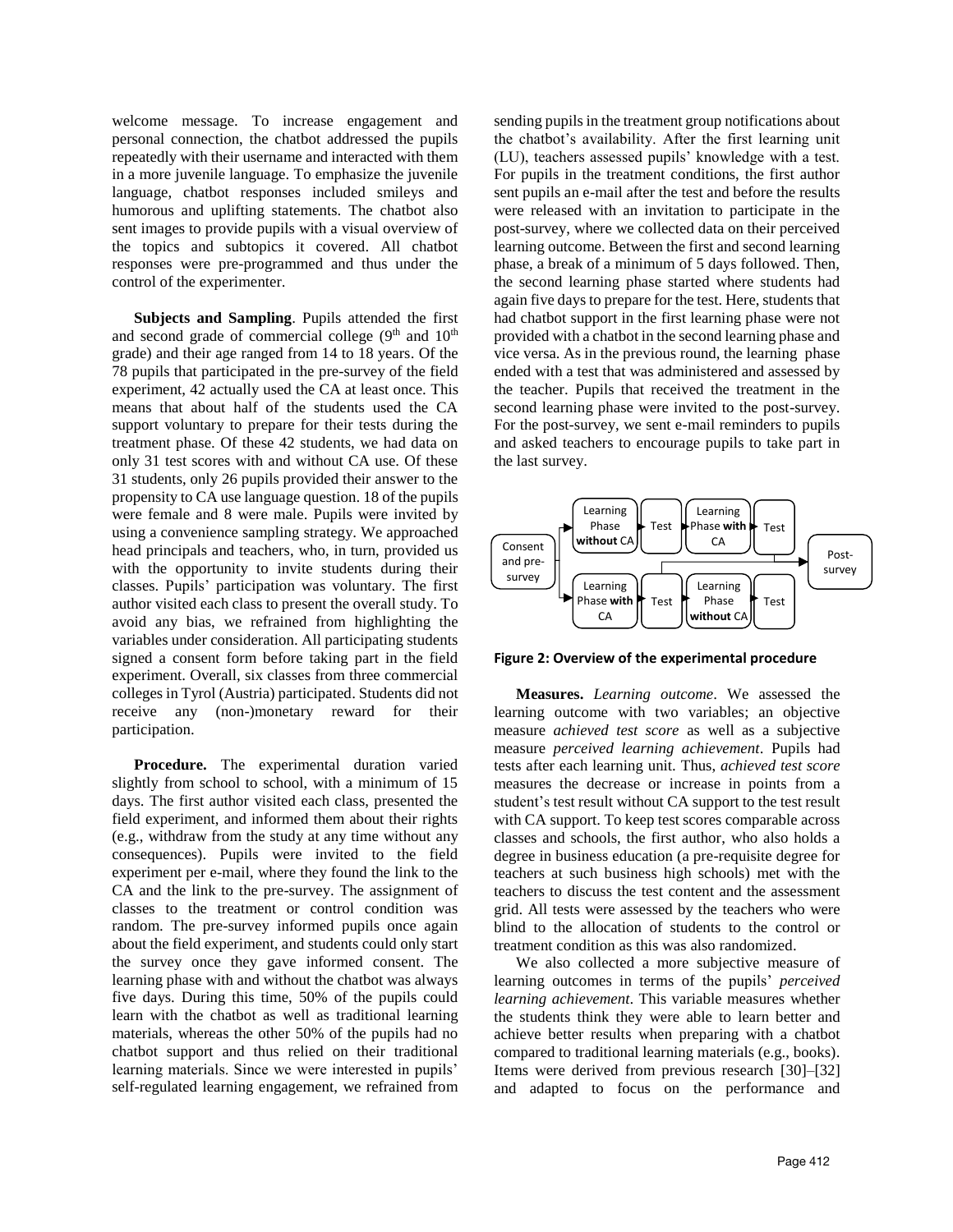welcome message. To increase engagement and personal connection, the chatbot addressed the pupils repeatedly with their username and interacted with them in a more juvenile language. To emphasize the juvenile language, chatbot responses included smileys and humorous and uplifting statements. The chatbot also sent images to provide pupils with a visual overview of the topics and subtopics it covered. All chatbot responses were pre-programmed and thus under the control of the experimenter.

**Subjects and Sampling**. Pupils attended the first and second grade of commercial college  $(9<sup>th</sup>$  and  $10<sup>th</sup>$ grade) and their age ranged from 14 to 18 years. Of the 78 pupils that participated in the pre-survey of the field experiment, 42 actually used the CA at least once. This means that about half of the students used the CA support voluntary to prepare for their tests during the treatment phase. Of these 42 students, we had data on only 31 test scores with and without CA use. Of these 31 students, only 26 pupils provided their answer to the propensity to CA use language question. 18 of the pupils were female and 8 were male. Pupils were invited by using a convenience sampling strategy. We approached head principals and teachers, who, in turn, provided us with the opportunity to invite students during their classes. Pupils' participation was voluntary. The first author visited each class to present the overall study. To avoid any bias, we refrained from highlighting the variables under consideration. All participating students signed a consent form before taking part in the field experiment. Overall, six classes from three commercial colleges in Tyrol (Austria) participated. Students did not receive any (non-)monetary reward for their participation.

**Procedure.** The experimental duration varied slightly from school to school, with a minimum of 15 days. The first author visited each class, presented the field experiment, and informed them about their rights (e.g., withdraw from the study at any time without any consequences). Pupils were invited to the field experiment per e-mail, where they found the link to the CA and the link to the pre-survey. The assignment of classes to the treatment or control condition was random. The pre-survey informed pupils once again about the field experiment, and students could only start the survey once they gave informed consent. The learning phase with and without the chatbot was always five days. During this time, 50% of the pupils could learn with the chatbot as well as traditional learning materials, whereas the other 50% of the pupils had no chatbot support and thus relied on their traditional learning materials. Since we were interested in pupils' self-regulated learning engagement, we refrained from

sending pupils in the treatment group notifications about the chatbot's availability. After the first learning unit (LU), teachers assessed pupils' knowledge with a test. For pupils in the treatment conditions, the first author sent pupils an e-mail after the test and before the results were released with an invitation to participate in the post-survey, where we collected data on their perceived learning outcome. Between the first and second learning phase, a break of a minimum of 5 days followed. Then, the second learning phase started where students had again five days to prepare for the test. Here, students that had chatbot support in the first learning phase were not provided with a chatbot in the second learning phase and vice versa. As in the previous round, the learning phase ended with a test that was administered and assessed by the teacher. Pupils that received the treatment in the second learning phase were invited to the post-survey. For the post-survey, we sent e-mail reminders to pupils and asked teachers to encourage pupils to take part in the last survey.



**Figure 2: Overview of the experimental procedure**

**Measures.** *Learning outcome*. We assessed the learning outcome with two variables; an objective measure *achieved test score* as well as a subjective measure *perceived learning achievement*. Pupils had tests after each learning unit. Thus, *achieved test score* measures the decrease or increase in points from a student's test result without CA support to the test result with CA support. To keep test scores comparable across classes and schools, the first author, who also holds a degree in business education (a pre-requisite degree for teachers at such business high schools) met with the teachers to discuss the test content and the assessment grid. All tests were assessed by the teachers who were blind to the allocation of students to the control or treatment condition as this was also randomized.

We also collected a more subjective measure of learning outcomes in terms of the pupils' *perceived learning achievement*. This variable measures whether the students think they were able to learn better and achieve better results when preparing with a chatbot compared to traditional learning materials (e.g., books). Items were derived from previous research [30]–[32] and adapted to focus on the performance and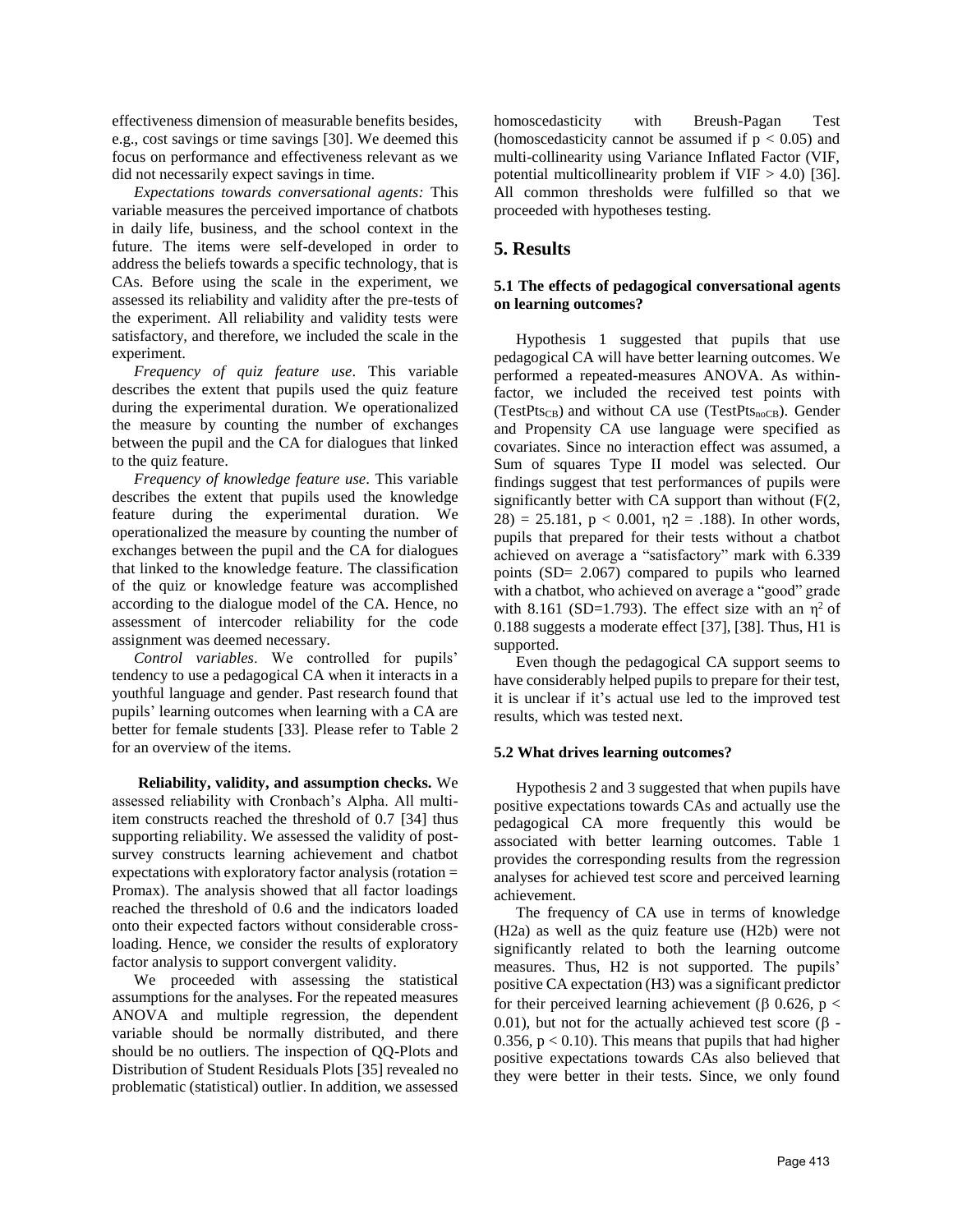effectiveness dimension of measurable benefits besides, e.g., cost savings or time savings [30]. We deemed this focus on performance and effectiveness relevant as we did not necessarily expect savings in time.

*Expectations towards conversational agents:* This variable measures the perceived importance of chatbots in daily life, business, and the school context in the future. The items were self-developed in order to address the beliefs towards a specific technology, that is CAs. Before using the scale in the experiment, we assessed its reliability and validity after the pre-tests of the experiment. All reliability and validity tests were satisfactory, and therefore, we included the scale in the experiment.

*Frequency of quiz feature use*. This variable describes the extent that pupils used the quiz feature during the experimental duration. We operationalized the measure by counting the number of exchanges between the pupil and the CA for dialogues that linked to the quiz feature.

*Frequency of knowledge feature use*. This variable describes the extent that pupils used the knowledge feature during the experimental duration. We operationalized the measure by counting the number of exchanges between the pupil and the CA for dialogues that linked to the knowledge feature. The classification of the quiz or knowledge feature was accomplished according to the dialogue model of the CA. Hence, no assessment of intercoder reliability for the code assignment was deemed necessary.

*Control variables*. We controlled for pupils' tendency to use a pedagogical CA when it interacts in a youthful language and gender. Past research found that pupils' learning outcomes when learning with a CA are better for female students [33]. Please refer to [Table 2](#page-9-0) for an overview of the items.

**Reliability, validity, and assumption checks.** We assessed reliability with Cronbach's Alpha. All multiitem constructs reached the threshold of 0.7 [34] thus supporting reliability. We assessed the validity of postsurvey constructs learning achievement and chatbot expectations with exploratory factor analysis (rotation = Promax). The analysis showed that all factor loadings reached the threshold of 0.6 and the indicators loaded onto their expected factors without considerable crossloading. Hence, we consider the results of exploratory factor analysis to support convergent validity.

We proceeded with assessing the statistical assumptions for the analyses. For the repeated measures ANOVA and multiple regression, the dependent variable should be normally distributed, and there should be no outliers. The inspection of QQ-Plots and Distribution of Student Residuals Plots [35] revealed no problematic (statistical) outlier. In addition, we assessed homoscedasticity with Breush-Pagan Test (homoscedasticity cannot be assumed if  $p < 0.05$ ) and multi-collinearity using Variance Inflated Factor (VIF, potential multicollinearity problem if  $VIF > 4.0$ ) [36]. All common thresholds were fulfilled so that we proceeded with hypotheses testing.

# **5. Results**

#### **5.1 The effects of pedagogical conversational agents on learning outcomes?**

Hypothesis 1 suggested that pupils that use pedagogical CA will have better learning outcomes. We performed a repeated-measures ANOVA. As withinfactor, we included the received test points with (TestPts<sub>CB</sub>) and without CA use (TestPts<sub>noCB</sub>). Gender and Propensity CA use language were specified as covariates. Since no interaction effect was assumed, a Sum of squares Type II model was selected. Our findings suggest that test performances of pupils were significantly better with CA support than without (F(2,  $28$ ) = 25.181, p < 0.001,  $\eta$ 2 = .188). In other words, pupils that prepared for their tests without a chatbot achieved on average a "satisfactory" mark with 6.339 points (SD= 2.067) compared to pupils who learned with a chatbot, who achieved on average a "good" grade with 8.161 (SD=1.793). The effect size with an  $\eta^2$  of 0.188 suggests a moderate effect [37], [38]. Thus, H1 is supported.

Even though the pedagogical CA support seems to have considerably helped pupils to prepare for their test, it is unclear if it's actual use led to the improved test results, which was tested next.

### **5.2 What drives learning outcomes?**

Hypothesis 2 and 3 suggested that when pupils have positive expectations towards CAs and actually use the pedagogical CA more frequently this would be associated with better learning outcomes. [Table 1](#page-6-0) provides the corresponding results from the regression analyses for achieved test score and perceived learning achievement.

The frequency of CA use in terms of knowledge (H2a) as well as the quiz feature use (H2b) were not significantly related to both the learning outcome measures. Thus, H2 is not supported. The pupils' positive CA expectation (H3) was a significant predictor for their perceived learning achievement ( $\beta$  0.626, p < 0.01), but not for the actually achieved test score  $(\beta -$ 0.356,  $p < 0.10$ ). This means that pupils that had higher positive expectations towards CAs also believed that they were better in their tests. Since, we only found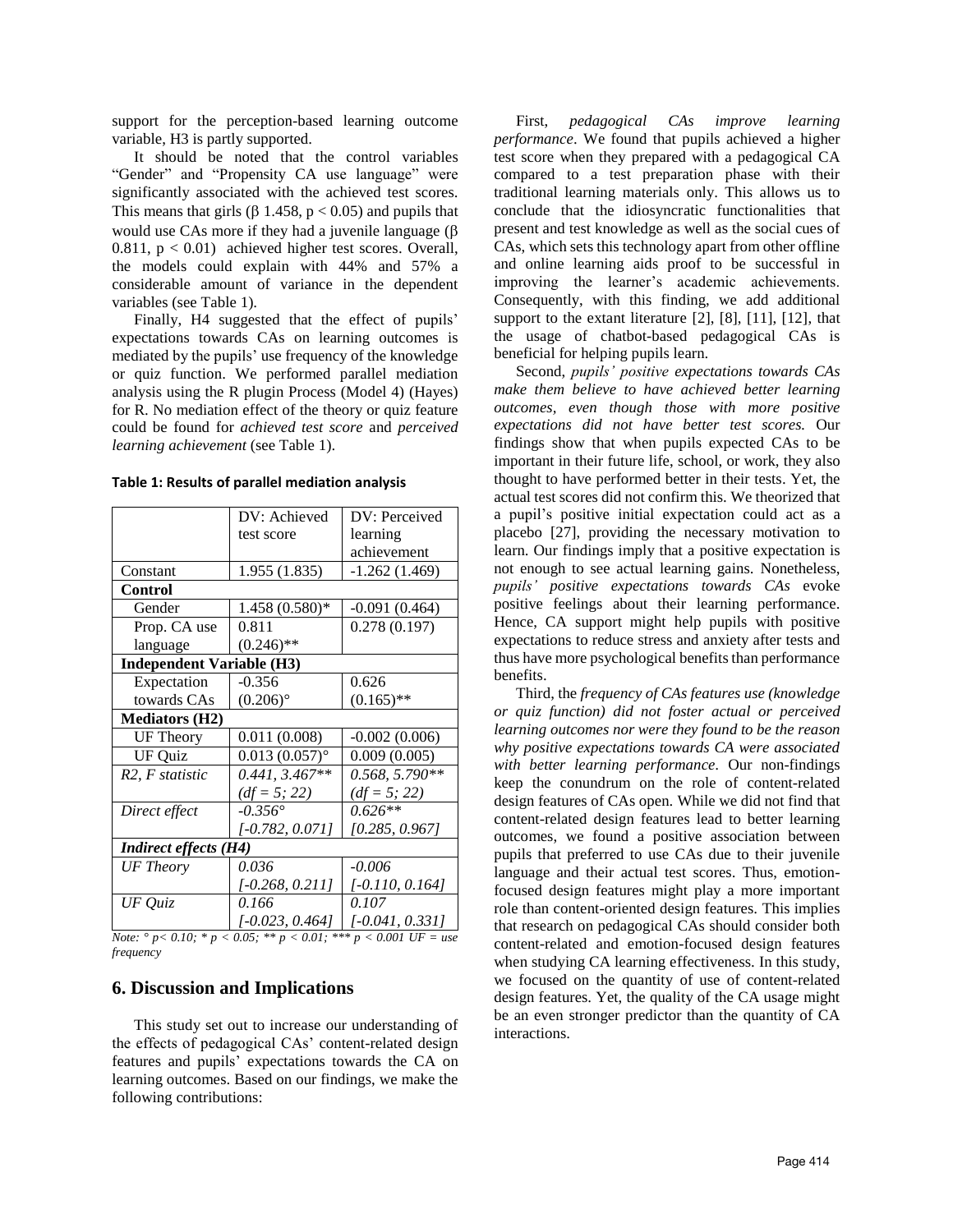support for the perception-based learning outcome variable, H3 is partly supported.

It should be noted that the control variables "Gender" and "Propensity CA use language" were significantly associated with the achieved test scores. This means that girls ( $\beta$  1.458,  $p < 0.05$ ) and pupils that would use CAs more if they had a juvenile language  $(\beta)$ 0.811,  $p < 0.01$ ) achieved higher test scores. Overall, the models could explain with 44% and 57% a considerable amount of variance in the dependent variables (see [Table 1\)](#page-6-0).

Finally, H4 suggested that the effect of pupils' expectations towards CAs on learning outcomes is mediated by the pupils' use frequency of the knowledge or quiz function. We performed parallel mediation analysis using the R plugin Process (Model 4) (Hayes) for R. No mediation effect of the theory or quiz feature could be found for *achieved test score* and *perceived learning achievement* (see [Table 1\)](#page-6-0).

<span id="page-6-0"></span>

|  |  |  | Table 1: Results of parallel mediation analysis |  |  |
|--|--|--|-------------------------------------------------|--|--|
|--|--|--|-------------------------------------------------|--|--|

|                                                                                        | DV: Achieved<br>DV: Perceived |                   |  |
|----------------------------------------------------------------------------------------|-------------------------------|-------------------|--|
|                                                                                        | test score                    | learning          |  |
|                                                                                        |                               | achievement       |  |
| Constant                                                                               | 1.955 (1.835)                 | $-1.262(1.469)$   |  |
| <b>Control</b>                                                                         |                               |                   |  |
| Gender                                                                                 | 1.458 (0.580)*                | $-0.091(0.464)$   |  |
| Prop. CA use                                                                           | 0.811                         | 0.278(0.197)      |  |
| language                                                                               | $(0.246)$ **                  |                   |  |
| <b>Independent Variable (H3)</b>                                                       |                               |                   |  |
| Expectation                                                                            | $-0.356$                      | 0.626             |  |
| towards CAs                                                                            | $(0.206)$ °                   | $(0.165)$ **      |  |
| <b>Mediators (H2)</b>                                                                  |                               |                   |  |
| <b>UF</b> Theory                                                                       | 0.011(0.008)                  | $-0.002(0.006)$   |  |
| <b>UF Quiz</b>                                                                         | $0.013(0.057)$ °              | 0.009(0.005)      |  |
| R2, F statistic                                                                        | $0.441, 3.467**$              | $0.568, 5.790**$  |  |
|                                                                                        | $(df = 5; 22)$                | $(df = 5; 22)$    |  |
| Direct effect                                                                          | $-0.356^{\circ}$              | $0.626**$         |  |
|                                                                                        | $[-0.782, 0.071]$             | [0.285, 0.967]    |  |
| <b>Indirect effects (H4)</b>                                                           |                               |                   |  |
| UF Theory                                                                              | 0.036                         | $-0.006$          |  |
|                                                                                        | $[-0.268, 0.211]$             | $[-0.110, 0.164]$ |  |
| UF Quiz                                                                                | 0.166                         | 0.107             |  |
|                                                                                        | $[-0.023, 0.464]$             | $[-0.041, 0.331]$ |  |
| <i>Note:</i> $\degree$ p < 0.10; $*$ p < 0.05; $**$ p < 0.01; $***$ p < 0.001 UF = use |                               |                   |  |

*frequency*

#### **6. Discussion and Implications**

This study set out to increase our understanding of the effects of pedagogical CAs' content-related design features and pupils' expectations towards the CA on learning outcomes. Based on our findings, we make the following contributions:

First, *pedagogical CAs improve learning performance*. We found that pupils achieved a higher test score when they prepared with a pedagogical CA compared to a test preparation phase with their traditional learning materials only. This allows us to conclude that the idiosyncratic functionalities that present and test knowledge as well as the social cues of CAs, which sets this technology apart from other offline and online learning aids proof to be successful in improving the learner's academic achievements. Consequently, with this finding, we add additional support to the extant literature [2], [8], [11], [12], that the usage of chatbot-based pedagogical CAs is beneficial for helping pupils learn.

Second, *pupils' positive expectations towards CAs make them believe to have achieved better learning outcomes, even though those with more positive expectations did not have better test scores.* Our findings show that when pupils expected CAs to be important in their future life, school, or work, they also thought to have performed better in their tests. Yet, the actual test scores did not confirm this. We theorized that a pupil's positive initial expectation could act as a placebo [27], providing the necessary motivation to learn. Our findings imply that a positive expectation is not enough to see actual learning gains. Nonetheless, *pupils' positive expectations towards CAs* evoke positive feelings about their learning performance. Hence, CA support might help pupils with positive expectations to reduce stress and anxiety after tests and thus have more psychological benefits than performance benefits.

Third, the *frequency of CAs features use (knowledge or quiz function) did not foster actual or perceived learning outcomes nor were they found to be the reason why positive expectations towards CA were associated with better learning performance.* Our non-findings keep the conundrum on the role of content-related design features of CAs open. While we did not find that content-related design features lead to better learning outcomes, we found a positive association between pupils that preferred to use CAs due to their juvenile language and their actual test scores. Thus, emotionfocused design features might play a more important role than content-oriented design features. This implies that research on pedagogical CAs should consider both content-related and emotion-focused design features when studying CA learning effectiveness. In this study, we focused on the quantity of use of content-related design features. Yet, the quality of the CA usage might be an even stronger predictor than the quantity of CA interactions.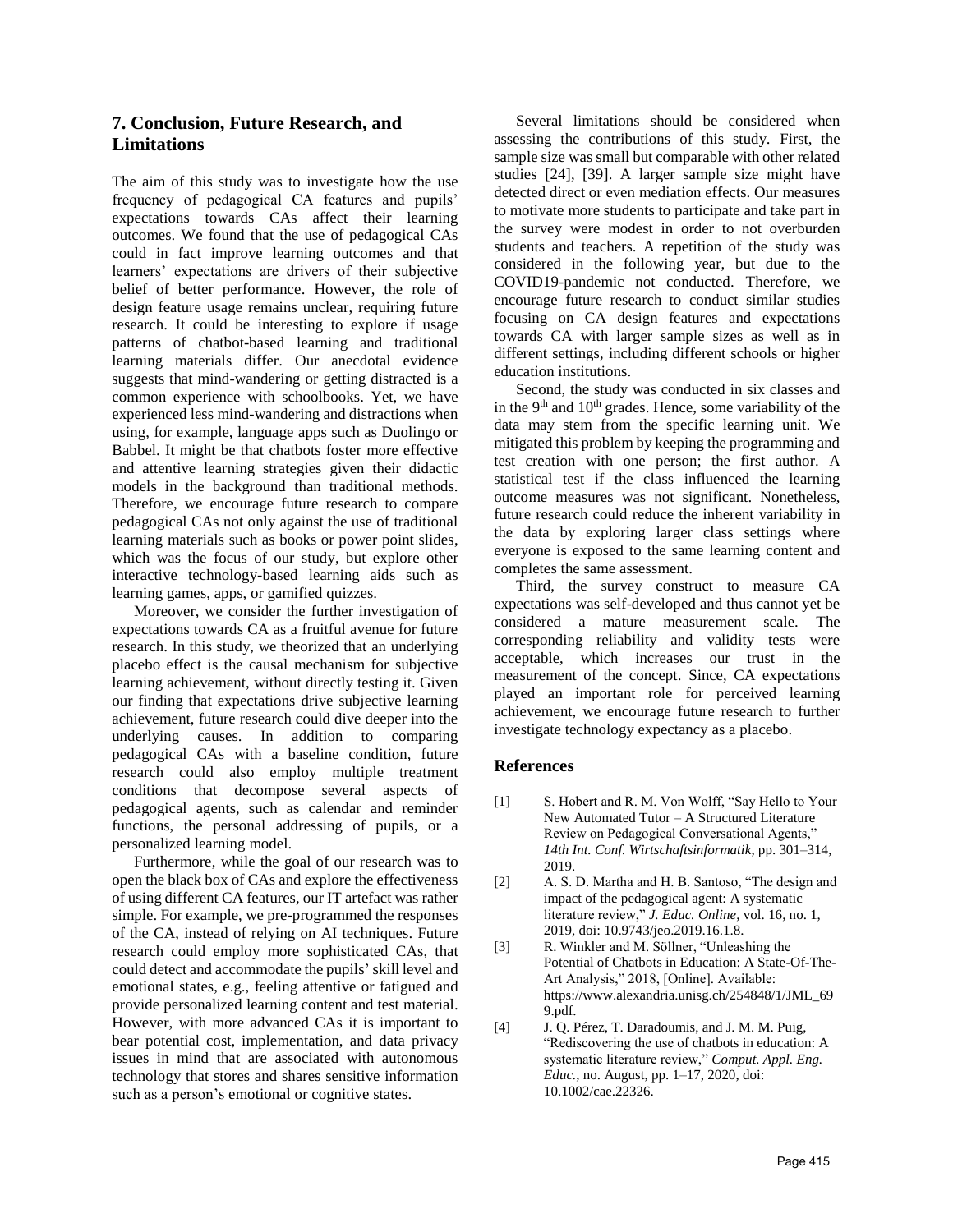# **7. Conclusion, Future Research, and Limitations**

The aim of this study was to investigate how the use frequency of pedagogical CA features and pupils' expectations towards CAs affect their learning outcomes. We found that the use of pedagogical CAs could in fact improve learning outcomes and that learners' expectations are drivers of their subjective belief of better performance. However, the role of design feature usage remains unclear, requiring future research. It could be interesting to explore if usage patterns of chatbot-based learning and traditional learning materials differ. Our anecdotal evidence suggests that mind-wandering or getting distracted is a common experience with schoolbooks. Yet, we have experienced less mind-wandering and distractions when using, for example, language apps such as Duolingo or Babbel. It might be that chatbots foster more effective and attentive learning strategies given their didactic models in the background than traditional methods. Therefore, we encourage future research to compare pedagogical CAs not only against the use of traditional learning materials such as books or power point slides, which was the focus of our study, but explore other interactive technology-based learning aids such as learning games, apps, or gamified quizzes.

Moreover, we consider the further investigation of expectations towards CA as a fruitful avenue for future research. In this study, we theorized that an underlying placebo effect is the causal mechanism for subjective learning achievement, without directly testing it. Given our finding that expectations drive subjective learning achievement, future research could dive deeper into the underlying causes. In addition to comparing pedagogical CAs with a baseline condition, future research could also employ multiple treatment conditions that decompose several aspects of pedagogical agents, such as calendar and reminder functions, the personal addressing of pupils, or a personalized learning model.

Furthermore, while the goal of our research was to open the black box of CAs and explore the effectiveness of using different CA features, our IT artefact was rather simple. For example, we pre-programmed the responses of the CA, instead of relying on AI techniques. Future research could employ more sophisticated CAs, that could detect and accommodate the pupils' skill level and emotional states, e.g., feeling attentive or fatigued and provide personalized learning content and test material. However, with more advanced CAs it is important to bear potential cost, implementation, and data privacy issues in mind that are associated with autonomous technology that stores and shares sensitive information such as a person's emotional or cognitive states.

Several limitations should be considered when assessing the contributions of this study. First, the sample size was small but comparable with other related studies [24], [39]. A larger sample size might have detected direct or even mediation effects. Our measures to motivate more students to participate and take part in the survey were modest in order to not overburden students and teachers. A repetition of the study was considered in the following year, but due to the COVID19-pandemic not conducted. Therefore, we encourage future research to conduct similar studies focusing on CA design features and expectations towards CA with larger sample sizes as well as in different settings, including different schools or higher education institutions.

Second, the study was conducted in six classes and in the  $9<sup>th</sup>$  and  $10<sup>th</sup>$  grades. Hence, some variability of the data may stem from the specific learning unit. We mitigated this problem by keeping the programming and test creation with one person; the first author. A statistical test if the class influenced the learning outcome measures was not significant. Nonetheless, future research could reduce the inherent variability in the data by exploring larger class settings where everyone is exposed to the same learning content and completes the same assessment.

Third, the survey construct to measure CA expectations was self-developed and thus cannot yet be considered a mature measurement scale. The corresponding reliability and validity tests were acceptable, which increases our trust in the measurement of the concept. Since, CA expectations played an important role for perceived learning achievement, we encourage future research to further investigate technology expectancy as a placebo.

# **References**

- [1] S. Hobert and R. M. Von Wolff, "Say Hello to Your New Automated Tutor – A Structured Literature Review on Pedagogical Conversational Agents," *14th Int. Conf. Wirtschaftsinformatik*, pp. 301–314, 2019.
- [2] A. S. D. Martha and H. B. Santoso, "The design and impact of the pedagogical agent: A systematic literature review," *J. Educ. Online*, vol. 16, no. 1, 2019, doi: 10.9743/jeo.2019.16.1.8.
- [3] R. Winkler and M. Söllner, "Unleashing the Potential of Chatbots in Education: A State-Of-The-Art Analysis," 2018, [Online]. Available: https://www.alexandria.unisg.ch/254848/1/JML\_69 9.pdf.
- [4] J. O. Pérez, T. Daradoumis, and J. M. M. Puig, "Rediscovering the use of chatbots in education: A systematic literature review," *Comput. Appl. Eng. Educ.*, no. August, pp. 1–17, 2020, doi: 10.1002/cae.22326.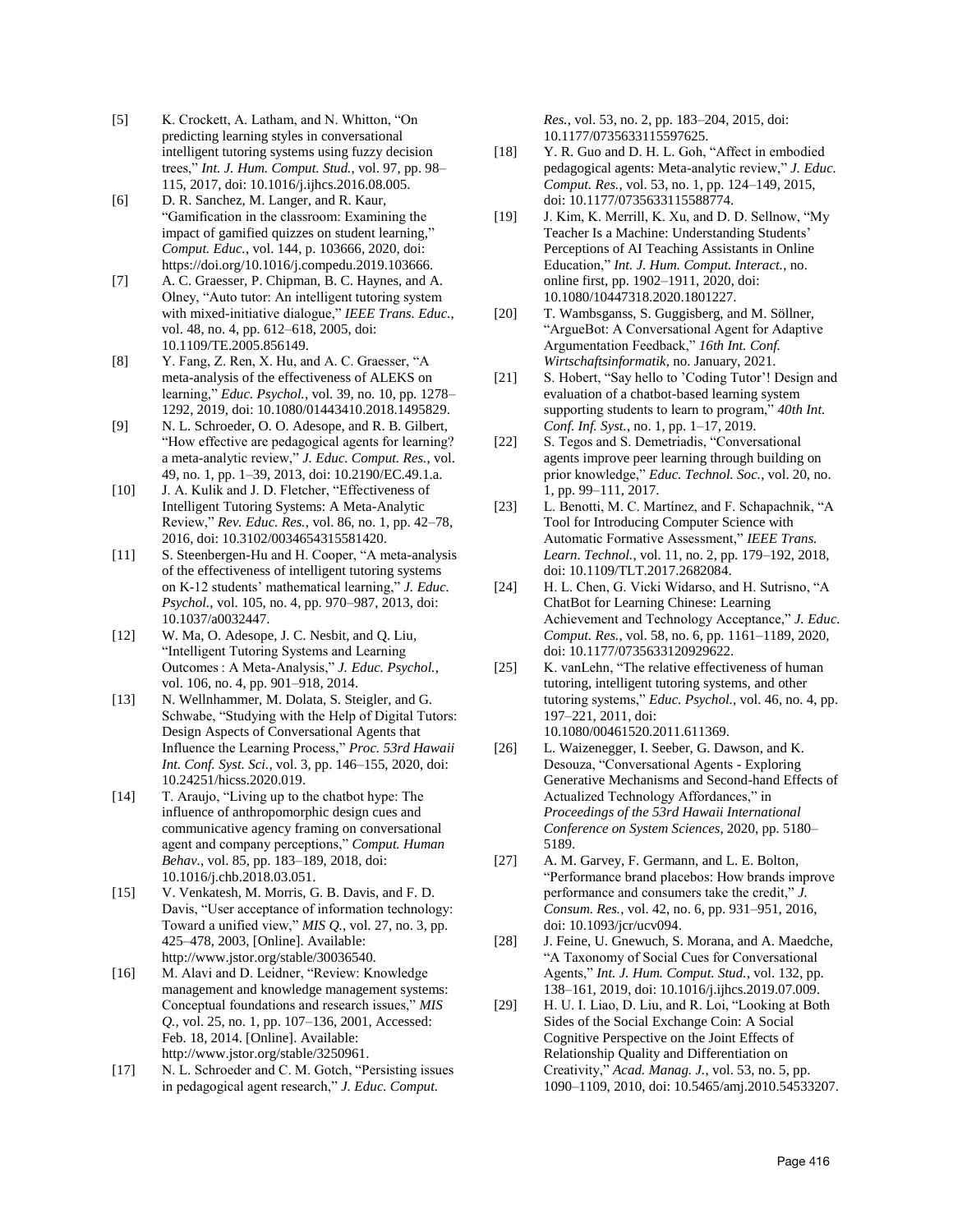- [5] K. Crockett, A. Latham, and N. Whitton, "On predicting learning styles in conversational intelligent tutoring systems using fuzzy decision trees," *Int. J. Hum. Comput. Stud.*, vol. 97, pp. 98– 115, 2017, doi: 10.1016/j.ijhcs.2016.08.005.
- [6] D. R. Sanchez, M. Langer, and R. Kaur, "Gamification in the classroom: Examining the impact of gamified quizzes on student learning," *Comput. Educ.*, vol. 144, p. 103666, 2020, doi: https://doi.org/10.1016/j.compedu.2019.103666.
- [7] A. C. Graesser, P. Chipman, B. C. Haynes, and A. Olney, "Auto tutor: An intelligent tutoring system with mixed-initiative dialogue," *IEEE Trans. Educ.*, vol. 48, no. 4, pp. 612–618, 2005, doi: 10.1109/TE.2005.856149.
- [8] Y. Fang, Z. Ren, X. Hu, and A. C. Graesser, "A meta-analysis of the effectiveness of ALEKS on learning," *Educ. Psychol.*, vol. 39, no. 10, pp. 1278– 1292, 2019, doi: 10.1080/01443410.2018.1495829.
- [9] N. L. Schroeder, O. O. Adesope, and R. B. Gilbert, "How effective are pedagogical agents for learning? a meta-analytic review," *J. Educ. Comput. Res.*, vol. 49, no. 1, pp. 1–39, 2013, doi: 10.2190/EC.49.1.a.
- [10] J. A. Kulik and J. D. Fletcher, "Effectiveness of Intelligent Tutoring Systems: A Meta-Analytic Review," *Rev. Educ. Res.*, vol. 86, no. 1, pp. 42–78, 2016, doi: 10.3102/0034654315581420.
- [11] S. Steenbergen-Hu and H. Cooper, "A meta-analysis of the effectiveness of intelligent tutoring systems on K-12 students' mathematical learning," *J. Educ. Psychol.*, vol. 105, no. 4, pp. 970–987, 2013, doi: 10.1037/a0032447.
- [12] W. Ma, O. Adesope, J. C. Nesbit, and Q. Liu, "Intelligent Tutoring Systems and Learning Outcomes : A Meta-Analysis," *J. Educ. Psychol.*, vol. 106, no. 4, pp. 901–918, 2014.
- [13] N. Wellnhammer, M. Dolata, S. Steigler, and G. Schwabe, "Studying with the Help of Digital Tutors: Design Aspects of Conversational Agents that Influence the Learning Process," *Proc. 53rd Hawaii Int. Conf. Syst. Sci.*, vol. 3, pp. 146–155, 2020, doi: 10.24251/hicss.2020.019.
- [14] T. Araujo, "Living up to the chatbot hype: The influence of anthropomorphic design cues and communicative agency framing on conversational agent and company perceptions," *Comput. Human Behav.*, vol. 85, pp. 183–189, 2018, doi: 10.1016/j.chb.2018.03.051.
- [15] V. Venkatesh, M. Morris, G. B. Davis, and F. D. Davis, "User acceptance of information technology: Toward a unified view," *MIS Q.*, vol. 27, no. 3, pp. 425–478, 2003, [Online]. Available: http://www.jstor.org/stable/30036540.
- [16] M. Alavi and D. Leidner, "Review: Knowledge management and knowledge management systems: Conceptual foundations and research issues," *MIS Q.*, vol. 25, no. 1, pp. 107–136, 2001, Accessed: Feb. 18, 2014. [Online]. Available: http://www.jstor.org/stable/3250961.
- [17] N. L. Schroeder and C. M. Gotch, "Persisting issues in pedagogical agent research," *J. Educ. Comput.*

*Res.*, vol. 53, no. 2, pp. 183–204, 2015, doi: 10.1177/0735633115597625.

- [18] Y. R. Guo and D. H. L. Goh, "Affect in embodied pedagogical agents: Meta-analytic review," *J. Educ. Comput. Res.*, vol. 53, no. 1, pp. 124–149, 2015, doi: 10.1177/0735633115588774.
- [19] J. Kim, K. Merrill, K. Xu, and D. D. Sellnow, "My Teacher Is a Machine: Understanding Students' Perceptions of AI Teaching Assistants in Online Education," *Int. J. Hum. Comput. Interact.*, no. online first, pp. 1902–1911, 2020, doi: 10.1080/10447318.2020.1801227.
- [20] T. Wambsganss, S. Guggisberg, and M. Söllner, "ArgueBot: A Conversational Agent for Adaptive Argumentation Feedback," *16th Int. Conf. Wirtschaftsinformatik*, no. January, 2021.
- [21] S. Hobert, "Say hello to 'Coding Tutor'! Design and evaluation of a chatbot-based learning system supporting students to learn to program," *40th Int. Conf. Inf. Syst.*, no. 1, pp. 1–17, 2019.
- [22] S. Tegos and S. Demetriadis, "Conversational agents improve peer learning through building on prior knowledge," *Educ. Technol. Soc.*, vol. 20, no. 1, pp. 99–111, 2017.
- [23] L. Benotti, M. C. Martínez, and F. Schapachnik, "A Tool for Introducing Computer Science with Automatic Formative Assessment," *IEEE Trans. Learn. Technol.*, vol. 11, no. 2, pp. 179–192, 2018, doi: 10.1109/TLT.2017.2682084.
- [24] H. L. Chen, G. Vicki Widarso, and H. Sutrisno, "A ChatBot for Learning Chinese: Learning Achievement and Technology Acceptance," *J. Educ. Comput. Res.*, vol. 58, no. 6, pp. 1161–1189, 2020, doi: 10.1177/0735633120929622.
- [25] K. vanLehn, "The relative effectiveness of human tutoring, intelligent tutoring systems, and other tutoring systems," *Educ. Psychol.*, vol. 46, no. 4, pp. 197–221, 2011, doi: 10.1080/00461520.2011.611369.
- [26] L. Waizenegger, I. Seeber, G. Dawson, and K. Desouza, "Conversational Agents - Exploring Generative Mechanisms and Second-hand Effects of Actualized Technology Affordances," in *Proceedings of the 53rd Hawaii International Conference on System Sciences*, 2020, pp. 5180– 5189.
- [27] A. M. Garvey, F. Germann, and L. E. Bolton, "Performance brand placebos: How brands improve performance and consumers take the credit," *J. Consum. Res.*, vol. 42, no. 6, pp. 931–951, 2016, doi: 10.1093/jcr/ucv094.
- [28] J. Feine, U. Gnewuch, S. Morana, and A. Maedche, "A Taxonomy of Social Cues for Conversational Agents," *Int. J. Hum. Comput. Stud.*, vol. 132, pp. 138–161, 2019, doi: 10.1016/j.ijhcs.2019.07.009.
- [29] H. U. I. Liao, D. Liu, and R. Loi, "Looking at Both" Sides of the Social Exchange Coin: A Social Cognitive Perspective on the Joint Effects of Relationship Quality and Differentiation on Creativity," *Acad. Manag. J.*, vol. 53, no. 5, pp. 1090–1109, 2010, doi: 10.5465/amj.2010.54533207.